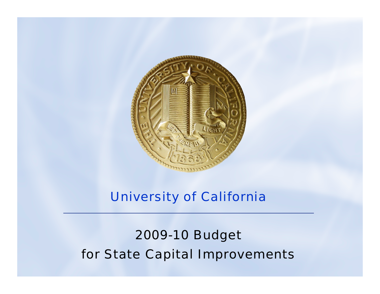

#### University of California

# 2009-10 Budget for State Capital Improvements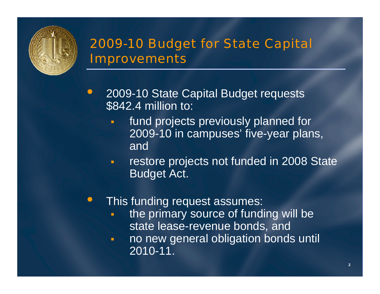# 2009-10 Budget for State Capital **Improvements**

- $\bigodot$  2009-10 State Capital Budget requests \$842.4 million to:
	- fund projects previously planned for 2009-10 in campuses' five-year plans, and
	- $\blacksquare$  restore projects not funded in 2008 State Budget Act.

#### $\bullet$ This funding request assumes:

- the primary source of funding will be state lease-revenue bonds, and
- $\blacksquare$  no new general obligation bonds until 2010-11.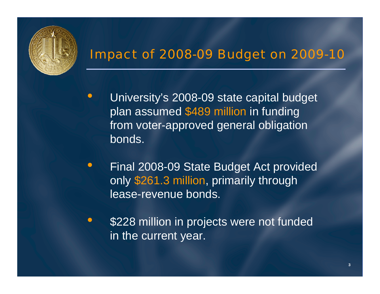

## Impact of 2008-09 Budget on 2009-10

- $\bullet$  University's 2008-09 state capital budget plan assumed \$489 million in funding from voter-approved general obligation bonds.
- $\bullet$  Final 2008-09 State Budget Act provided only \$261.3 million, primarily through lease-revenue bonds.
- $\bullet$  \$228 million in projects were not funded in the current year.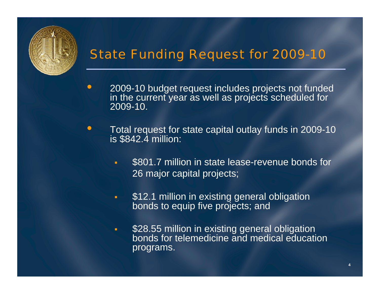

 $\bullet$ 

# State Funding Request for 2009-10

- 2009-10 budget request includes projects not funded in the current year as well as projects scheduled for 2009-10.
- $\bullet$  Total request for state capital outlay funds in 2009-10 is \$842.4 million:
	- $\blacksquare$  \$801.7 million in state lease-revenue bonds for 26 major capital projects;
	- $\blacksquare$ \$12.1 million in existing general obligation bonds to equip five projects; and
	- $\blacksquare$ **528.55 million in existing general obligation** bonds for telemedicine and medical education programs.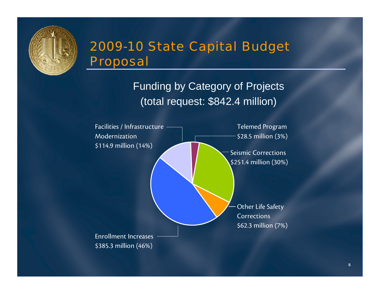

# 2009-10 State Capital Budget Proposal

Funding by Category of Projects (total request: \$842.4 million)

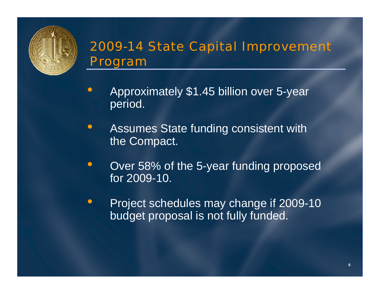

# 2009-14 State Capital Improvement Program

- $\bullet$  Approximately \$1.45 billion over 5-year period.
- $\bullet$  Assumes State funding consistent with the Compact.
- $\bullet$  Over 58% of the 5-year funding proposed for 2009-10.
- $\bullet$  Project schedules may change if 2009-10 budget proposal is not fully funded.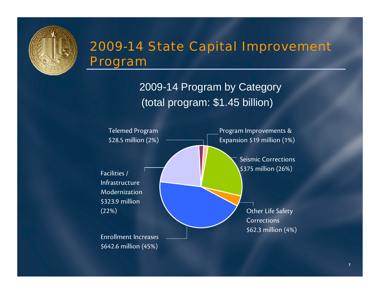

## 2009-14 State Capital Improvement Program

2009-14 Program by Category (total program: \$1.45 billion)

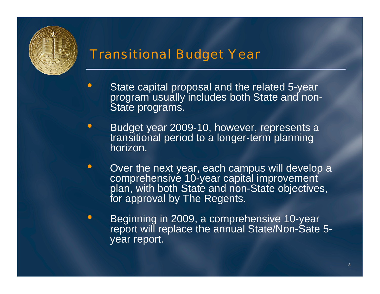

### Transitional Budget Year

- $\bullet$  State capital proposal and the related 5-year program usually includes both State and non-State programs.
- $\bullet$  Budget year 2009-10, however, represents a transitional period to a longer-term planning horizon.
- $\bullet$ • Over the next year, each campus will develop a comprehensive 10-year capital improvement plan, with both State and non-State objectives, for approval by The Regents.
- $\bullet$  Beginning in 2009, a comprehensive 10-year report will replace the annual State/Non-Sate 5 year report.